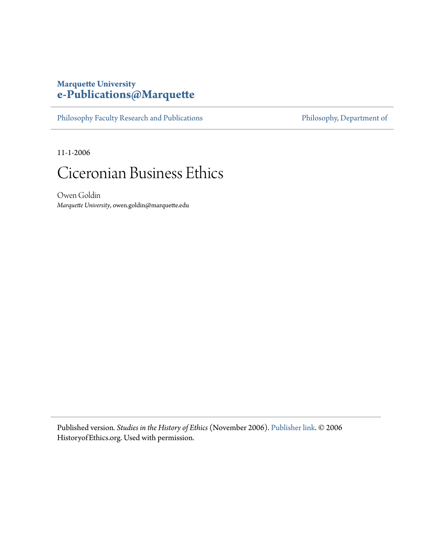## **Marquette University [e-Publications@Marquette](https://epublications.marquette.edu)**

[Philosophy Faculty Research and Publications](https://epublications.marquette.edu/phil_fac) [Philosophy, Department of](https://epublications.marquette.edu/philosophy)

11-1-2006

## Ciceronian Business Ethics

Owen Goldin *Marquette University*, owen.goldin@marquette.edu

Published version*. Studies in the History of Ethics* (November 2006). [Publisher link](http://www.historyofethics.org/112006/112006Goldin.shtml). © 2006 HistoryofEthics.org. Used with permission.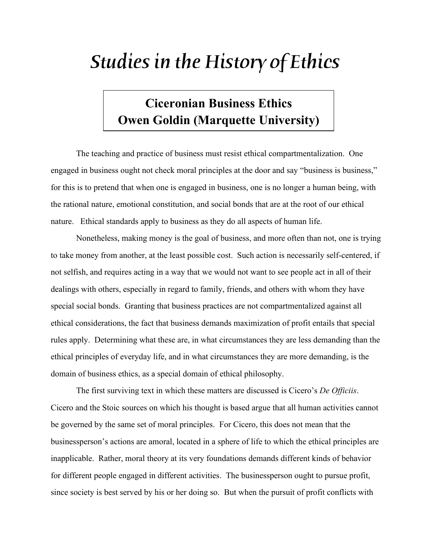## *Studies in the History of Ethics*

## **Ciceronian Business Ethics Owen Goldin (Marquette University)**

The teaching and practice of business must resist ethical compartmentalization. One engaged in business ought not check moral principles at the door and say "business is business," for this is to pretend that when one is engaged in business, one is no longer a human being, with the rational nature, emotional constitution, and social bonds that are at the root of our ethical nature. Ethical standards apply to business as they do all aspects of human life.

Nonetheless, making money is the goal of business, and more often than not, one is trying to take money from another, at the least possible cost. Such action is necessarily self-centered, if not selfish, and requires acting in a way that we would not want to see people act in all of their dealings with others, especially in regard to family, friends, and others with whom they have special social bonds. Granting that business practices are not compartmentalized against all ethical considerations, the fact that business demands maximization of profit entails that special rules apply. Determining what these are, in what circumstances they are less demanding than the ethical principles of everyday life, and in what circumstances they are more demanding, is the domain of business ethics, as a special domain of ethical philosophy.

The first surviving text in which these matters are discussed is Cicero's *De Officiis*. Cicero and the Stoic sources on which his thought is based argue that all human activities cannot be governed by the same set of moral principles. For Cicero, this does not mean that the businessperson's actions are amoral, located in a sphere of life to which the ethical principles are inapplicable. Rather, moral theory at its very foundations demands different kinds of behavior for different people engaged in different activities. The businessperson ought to pursue profit, since society is best served by his or her doing so. But when the pursuit of profit conflicts with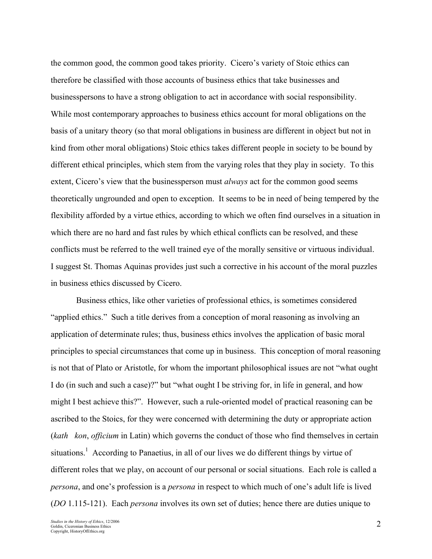the common good, the common good takes priority. Cicero's variety of Stoic ethics can therefore be classified with those accounts of business ethics that take businesses and businesspersons to have a strong obligation to act in accordance with social responsibility. While most contemporary approaches to business ethics account for moral obligations on the basis of a unitary theory (so that moral obligations in business are different in object but not in kind from other moral obligations) Stoic ethics takes different people in society to be bound by different ethical principles, which stem from the varying roles that they play in society. To this extent, Cicero's view that the businessperson must *always* act for the common good seems theoretically ungrounded and open to exception. It seems to be in need of being tempered by the flexibility afforded by a virtue ethics, according to which we often find ourselves in a situation in which there are no hard and fast rules by which ethical conflicts can be resolved, and these conflicts must be referred to the well trained eye of the morally sensitive or virtuous individual. I suggest St. Thomas Aquinas provides just such a corrective in his account of the moral puzzles in business ethics discussed by Cicero.

Business ethics, like other varieties of professional ethics, is sometimes considered "applied ethics." Such a title derives from a conception of moral reasoning as involving an application of determinate rules; thus, business ethics involves the application of basic moral principles to special circumstances that come up in business. This conception of moral reasoning is not that of Plato or Aristotle, for whom the important philosophical issues are not "what ought I do (in such and such a case)?" but "what ought I be striving for, in life in general, and how might I best achieve this?". However, such a rule-oriented model of practical reasoning can be ascribed to the Stoics, for they were concerned with determining the duty or appropriate action (*kath kon*, *officium* in Latin) which governs the conduct of those who find themselves in certain situations.<sup>1</sup> According to Panaetius, in all of our lives we do different things by virtue of different roles that we play, on account of our personal or social situations. Each role is called a *persona*, and one's profession is a *persona* in respect to which much of one's adult life is lived (*DO* 1.115-121). Each *persona* involves its own set of duties; hence there are duties unique to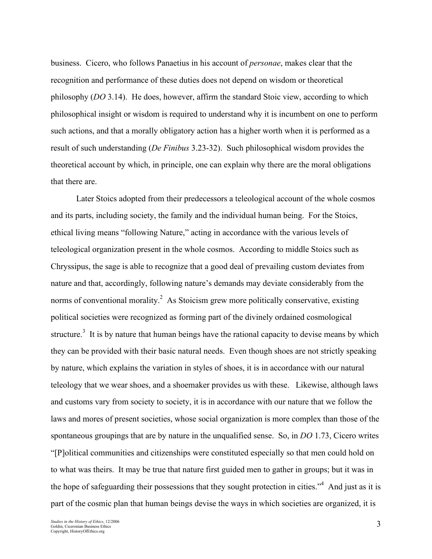business. Cicero, who follows Panaetius in his account of *personae*, makes clear that the recognition and performance of these duties does not depend on wisdom or theoretical philosophy (*DO* 3.14). He does, however, affirm the standard Stoic view, according to which philosophical insight or wisdom is required to understand why it is incumbent on one to perform such actions, and that a morally obligatory action has a higher worth when it is performed as a result of such understanding (*De Finibus* 3.23-32). Such philosophical wisdom provides the theoretical account by which, in principle, one can explain why there are the moral obligations that there are.

Later Stoics adopted from their predecessors a teleological account of the whole cosmos and its parts, including society, the family and the individual human being. For the Stoics, ethical living means "following Nature," acting in accordance with the various levels of teleological organization present in the whole cosmos. According to middle Stoics such as Chryssipus, the sage is able to recognize that a good deal of prevailing custom deviates from nature and that, accordingly, following nature's demands may deviate considerably from the norms of conventional morality.<sup>2</sup> As Stoicism grew more politically conservative, existing political societies were recognized as forming part of the divinely ordained cosmological structure.<sup>3</sup> It is by nature that human beings have the rational capacity to devise means by which they can be provided with their basic natural needs. Even though shoes are not strictly speaking by nature, which explains the variation in styles of shoes, it is in accordance with our natural teleology that we wear shoes, and a shoemaker provides us with these. Likewise, although laws and customs vary from society to society, it is in accordance with our nature that we follow the laws and mores of present societies, whose social organization is more complex than those of the spontaneous groupings that are by nature in the unqualified sense. So, in *DO* 1.73, Cicero writes "[P]olitical communities and citizenships were constituted especially so that men could hold on to what was theirs. It may be true that nature first guided men to gather in groups; but it was in the hope of safeguarding their possessions that they sought protection in cities."<sup>4</sup> And just as it is part of the cosmic plan that human beings devise the ways in which societies are organized, it is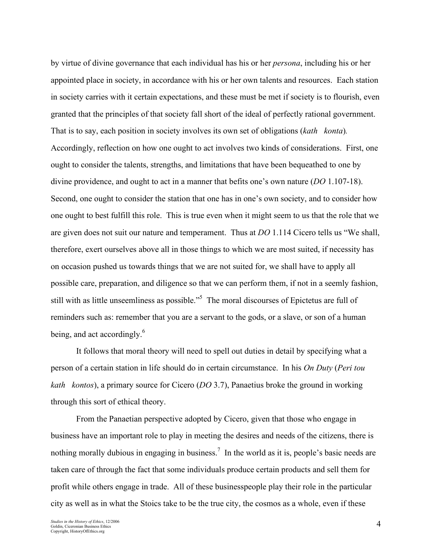by virtue of divine governance that each individual has his or her *persona*, including his or her appointed place in society, in accordance with his or her own talents and resources. Each station in society carries with it certain expectations, and these must be met if society is to flourish, even granted that the principles of that society fall short of the ideal of perfectly rational government. That is to say, each position in society involves its own set of obligations (*kath konta*)*.*  Accordingly, reflection on how one ought to act involves two kinds of considerations. First, one ought to consider the talents, strengths, and limitations that have been bequeathed to one by divine providence, and ought to act in a manner that befits one's own nature (*DO* 1.107-18). Second, one ought to consider the station that one has in one's own society, and to consider how one ought to best fulfill this role. This is true even when it might seem to us that the role that we are given does not suit our nature and temperament. Thus at *DO* 1.114 Cicero tells us "We shall, therefore, exert ourselves above all in those things to which we are most suited, if necessity has on occasion pushed us towards things that we are not suited for, we shall have to apply all possible care, preparation, and diligence so that we can perform them, if not in a seemly fashion, still with as little unseemliness as possible."<sup>5</sup> The moral discourses of Epictetus are full of reminders such as: remember that you are a servant to the gods, or a slave, or son of a human being, and act accordingly.<sup>6</sup>

It follows that moral theory will need to spell out duties in detail by specifying what a person of a certain station in life should do in certain circumstance. In his *On Duty* (*Peri tou kath kontos*), a primary source for Cicero (*DO* 3.7), Panaetius broke the ground in working through this sort of ethical theory.

From the Panaetian perspective adopted by Cicero, given that those who engage in business have an important role to play in meeting the desires and needs of the citizens, there is nothing morally dubious in engaging in business.<sup>7</sup> In the world as it is, people's basic needs are taken care of through the fact that some individuals produce certain products and sell them for profit while others engage in trade. All of these businesspeople play their role in the particular city as well as in what the Stoics take to be the true city, the cosmos as a whole, even if these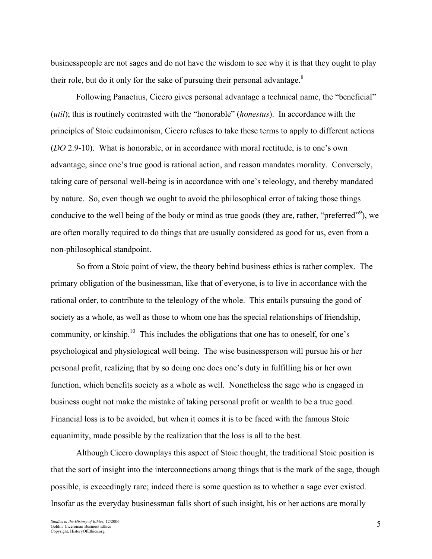businesspeople are not sages and do not have the wisdom to see why it is that they ought to play their role, but do it only for the sake of pursuing their personal advantage. $8$ 

Following Panaetius, Cicero gives personal advantage a technical name, the "beneficial" (*util*); this is routinely contrasted with the "honorable" (*honestus*). In accordance with the principles of Stoic eudaimonism, Cicero refuses to take these terms to apply to different actions (*DO* 2.9-10). What is honorable, or in accordance with moral rectitude, is to one's own advantage, since one's true good is rational action, and reason mandates morality. Conversely, taking care of personal well-being is in accordance with one's teleology, and thereby mandated by nature. So, even though we ought to avoid the philosophical error of taking those things conducive to the well being of the body or mind as true goods (they are, rather, "preferred"), we are often morally required to do things that are usually considered as good for us, even from a non-philosophical standpoint.

So from a Stoic point of view, the theory behind business ethics is rather complex. The primary obligation of the businessman, like that of everyone, is to live in accordance with the rational order, to contribute to the teleology of the whole. This entails pursuing the good of society as a whole, as well as those to whom one has the special relationships of friendship, community, or kinship.<sup>10</sup> This includes the obligations that one has to oneself, for one's psychological and physiological well being. The wise businessperson will pursue his or her personal profit, realizing that by so doing one does one's duty in fulfilling his or her own function, which benefits society as a whole as well. Nonetheless the sage who is engaged in business ought not make the mistake of taking personal profit or wealth to be a true good. Financial loss is to be avoided, but when it comes it is to be faced with the famous Stoic equanimity, made possible by the realization that the loss is all to the best.

Although Cicero downplays this aspect of Stoic thought, the traditional Stoic position is that the sort of insight into the interconnections among things that is the mark of the sage, though possible, is exceedingly rare; indeed there is some question as to whether a sage ever existed. Insofar as the everyday businessman falls short of such insight, his or her actions are morally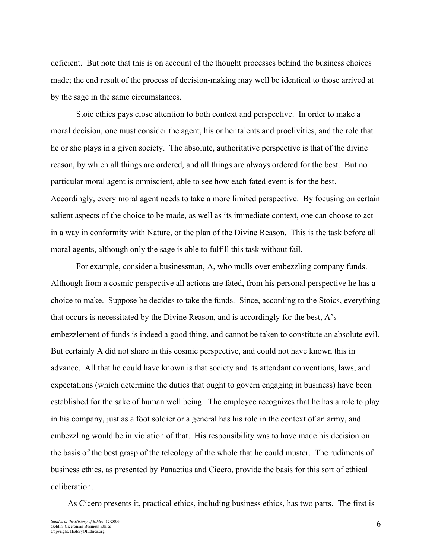deficient. But note that this is on account of the thought processes behind the business choices made; the end result of the process of decision-making may well be identical to those arrived at by the sage in the same circumstances.

Stoic ethics pays close attention to both context and perspective. In order to make a moral decision, one must consider the agent, his or her talents and proclivities, and the role that he or she plays in a given society. The absolute, authoritative perspective is that of the divine reason, by which all things are ordered, and all things are always ordered for the best. But no particular moral agent is omniscient, able to see how each fated event is for the best. Accordingly, every moral agent needs to take a more limited perspective. By focusing on certain salient aspects of the choice to be made, as well as its immediate context, one can choose to act in a way in conformity with Nature, or the plan of the Divine Reason. This is the task before all moral agents, although only the sage is able to fulfill this task without fail.

For example, consider a businessman, A, who mulls over embezzling company funds. Although from a cosmic perspective all actions are fated, from his personal perspective he has a choice to make. Suppose he decides to take the funds. Since, according to the Stoics, everything that occurs is necessitated by the Divine Reason, and is accordingly for the best, A's embezzlement of funds is indeed a good thing, and cannot be taken to constitute an absolute evil. But certainly A did not share in this cosmic perspective, and could not have known this in advance. All that he could have known is that society and its attendant conventions, laws, and expectations (which determine the duties that ought to govern engaging in business) have been established for the sake of human well being. The employee recognizes that he has a role to play in his company, just as a foot soldier or a general has his role in the context of an army, and embezzling would be in violation of that. His responsibility was to have made his decision on the basis of the best grasp of the teleology of the whole that he could muster. The rudiments of business ethics, as presented by Panaetius and Cicero, provide the basis for this sort of ethical deliberation.

As Cicero presents it, practical ethics, including business ethics, has two parts. The first is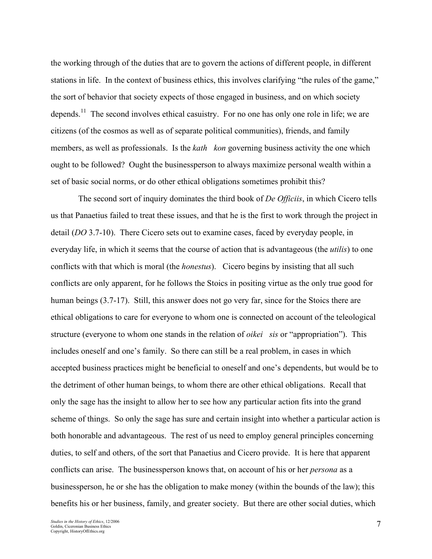the working through of the duties that are to govern the actions of different people, in different stations in life. In the context of business ethics, this involves clarifying "the rules of the game," the sort of behavior that society expects of those engaged in business, and on which society depends.<sup>11</sup> The second involves ethical casuistry. For no one has only one role in life; we are citizens (of the cosmos as well as of separate political communities), friends, and family members, as well as professionals. Is the *kath kon* governing business activity the one which ought to be followed? Ought the businessperson to always maximize personal wealth within a set of basic social norms, or do other ethical obligations sometimes prohibit this?

 The second sort of inquiry dominates the third book of *De Officiis*, in which Cicero tells us that Panaetius failed to treat these issues, and that he is the first to work through the project in detail (*DO* 3.7-10). There Cicero sets out to examine cases, faced by everyday people, in everyday life, in which it seems that the course of action that is advantageous (the *utilis*) to one conflicts with that which is moral (the *honestus*). Cicero begins by insisting that all such conflicts are only apparent, for he follows the Stoics in positing virtue as the only true good for human beings (3.7-17). Still, this answer does not go very far, since for the Stoics there are ethical obligations to care for everyone to whom one is connected on account of the teleological structure (everyone to whom one stands in the relation of *oikei sis* or "appropriation"). This includes oneself and one's family. So there can still be a real problem, in cases in which accepted business practices might be beneficial to oneself and one's dependents, but would be to the detriment of other human beings, to whom there are other ethical obligations. Recall that only the sage has the insight to allow her to see how any particular action fits into the grand scheme of things. So only the sage has sure and certain insight into whether a particular action is both honorable and advantageous. The rest of us need to employ general principles concerning duties, to self and others, of the sort that Panaetius and Cicero provide. It is here that apparent conflicts can arise. The businessperson knows that, on account of his or her *persona* as a businessperson, he or she has the obligation to make money (within the bounds of the law); this benefits his or her business, family, and greater society. But there are other social duties, which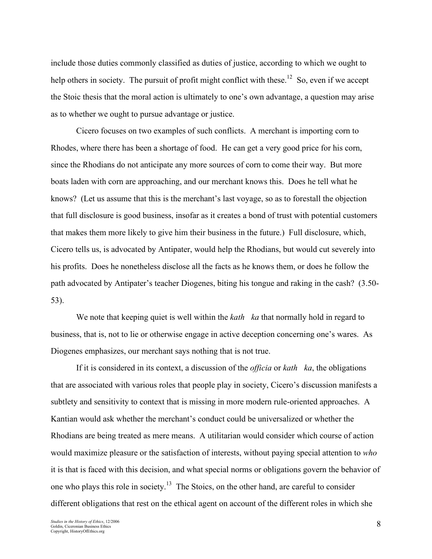include those duties commonly classified as duties of justice, according to which we ought to help others in society. The pursuit of profit might conflict with these.<sup>12</sup> So, even if we accept the Stoic thesis that the moral action is ultimately to one's own advantage, a question may arise as to whether we ought to pursue advantage or justice.

Cicero focuses on two examples of such conflicts. A merchant is importing corn to Rhodes, where there has been a shortage of food. He can get a very good price for his corn, since the Rhodians do not anticipate any more sources of corn to come their way. But more boats laden with corn are approaching, and our merchant knows this. Does he tell what he knows? (Let us assume that this is the merchant's last voyage, so as to forestall the objection that full disclosure is good business, insofar as it creates a bond of trust with potential customers that makes them more likely to give him their business in the future.) Full disclosure, which, Cicero tells us, is advocated by Antipater, would help the Rhodians, but would cut severely into his profits. Does he nonetheless disclose all the facts as he knows them, or does he follow the path advocated by Antipater's teacher Diogenes, biting his tongue and raking in the cash? (3.50- 53).

We note that keeping quiet is well within the *kath ka* that normally hold in regard to business, that is, not to lie or otherwise engage in active deception concerning one's wares. As Diogenes emphasizes, our merchant says nothing that is not true.

If it is considered in its context, a discussion of the *officia* or *kath ka*, the obligations that are associated with various roles that people play in society, Cicero's discussion manifests a subtlety and sensitivity to context that is missing in more modern rule-oriented approaches. A Kantian would ask whether the merchant's conduct could be universalized or whether the Rhodians are being treated as mere means. A utilitarian would consider which course of action would maximize pleasure or the satisfaction of interests, without paying special attention to *who* it is that is faced with this decision, and what special norms or obligations govern the behavior of one who plays this role in society.<sup>13</sup> The Stoics, on the other hand, are careful to consider different obligations that rest on the ethical agent on account of the different roles in which she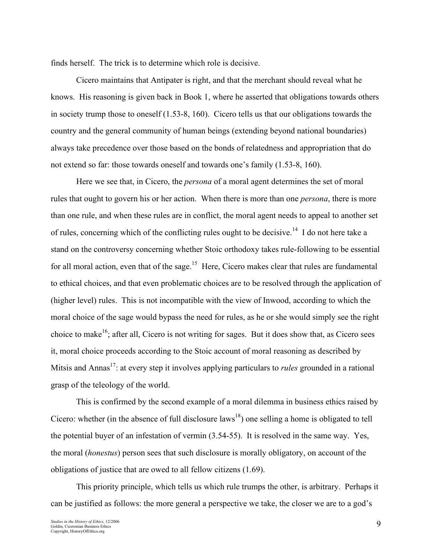finds herself. The trick is to determine which role is decisive.

Cicero maintains that Antipater is right, and that the merchant should reveal what he knows. His reasoning is given back in Book 1, where he asserted that obligations towards others in society trump those to oneself (1.53-8, 160). Cicero tells us that our obligations towards the country and the general community of human beings (extending beyond national boundaries) always take precedence over those based on the bonds of relatedness and appropriation that do not extend so far: those towards oneself and towards one's family (1.53-8, 160).

Here we see that, in Cicero, the *persona* of a moral agent determines the set of moral rules that ought to govern his or her action. When there is more than one *persona*, there is more than one rule, and when these rules are in conflict, the moral agent needs to appeal to another set of rules, concerning which of the conflicting rules ought to be decisive.<sup>14</sup> I do not here take a stand on the controversy concerning whether Stoic orthodoxy takes rule-following to be essential for all moral action, even that of the sage.<sup>15</sup> Here, Cicero makes clear that rules are fundamental to ethical choices, and that even problematic choices are to be resolved through the application of (higher level) rules. This is not incompatible with the view of Inwood, according to which the moral choice of the sage would bypass the need for rules, as he or she would simply see the right choice to make<sup>16</sup>; after all, Cicero is not writing for sages. But it does show that, as Cicero sees it, moral choice proceeds according to the Stoic account of moral reasoning as described by Mitsis and Annas 17: at every step it involves applying particulars to *rules* grounded in a rational grasp of the teleology of the world.

This is confirmed by the second example of a moral dilemma in business ethics raised by Cicero: whether (in the absence of full disclosure laws<sup>18</sup>) one selling a home is obligated to tell the potential buyer of an infestation of vermin (3.54-55). It is resolved in the same way. Yes, the moral (*honestus*) person sees that such disclosure is morally obligatory, on account of the obligations of justice that are owed to all fellow citizens (1.69).

This priority principle, which tells us which rule trumps the other, is arbitrary. Perhaps it can be justified as follows: the more general a perspective we take, the closer we are to a god's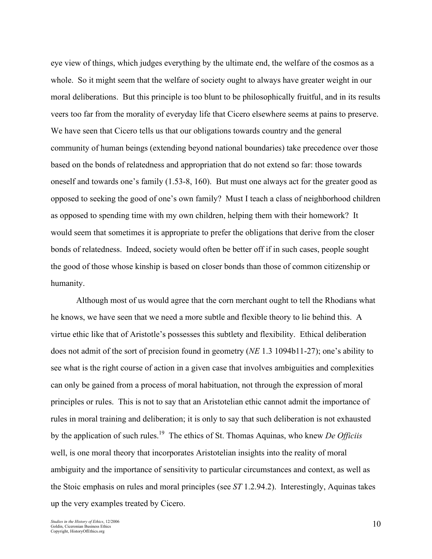eye view of things, which judges everything by the ultimate end, the welfare of the cosmos as a whole. So it might seem that the welfare of society ought to always have greater weight in our moral deliberations. But this principle is too blunt to be philosophically fruitful, and in its results veers too far from the morality of everyday life that Cicero elsewhere seems at pains to preserve. We have seen that Cicero tells us that our obligations towards country and the general community of human beings (extending beyond national boundaries) take precedence over those based on the bonds of relatedness and appropriation that do not extend so far: those towards oneself and towards one's family (1.53-8, 160). But must one always act for the greater good as opposed to seeking the good of one's own family? Must I teach a class of neighborhood children as opposed to spending time with my own children, helping them with their homework? It would seem that sometimes it is appropriate to prefer the obligations that derive from the closer bonds of relatedness. Indeed, society would often be better off if in such cases, people sought the good of those whose kinship is based on closer bonds than those of common citizenship or humanity.

Although most of us would agree that the corn merchant ought to tell the Rhodians what he knows, we have seen that we need a more subtle and flexible theory to lie behind this. A virtue ethic like that of Aristotle's possesses this subtlety and flexibility. Ethical deliberation does not admit of the sort of precision found in geometry (*NE* 1.3 1094b11-27); one's ability to see what is the right course of action in a given case that involves ambiguities and complexities can only be gained from a process of moral habituation, not through the expression of moral principles or rules. This is not to say that an Aristotelian ethic cannot admit the importance of rules in moral training and deliberation; it is only to say that such deliberation is not exhausted by the application of such rules. 19 The ethics of St. Thomas Aquinas, who knew *De Officiis* well, is one moral theory that incorporates Aristotelian insights into the reality of moral ambiguity and the importance of sensitivity to particular circumstances and context, as well as the Stoic emphasis on rules and moral principles (see *ST* 1.2.94.2). Interestingly, Aquinas takes up the very examples treated by Cicero.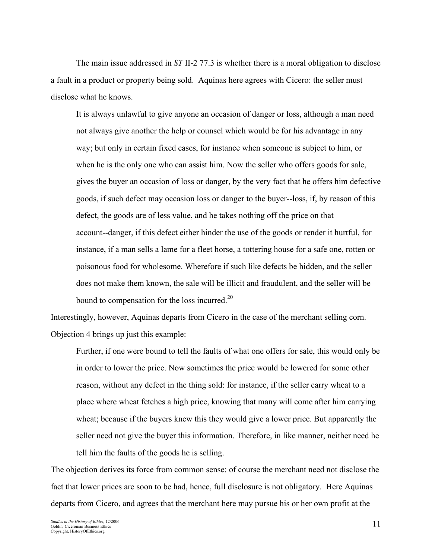The main issue addressed in *ST* II-2 77.3 is whether there is a moral obligation to disclose a fault in a product or property being sold. Aquinas here agrees with Cicero: the seller must disclose what he knows.

It is always unlawful to give anyone an occasion of danger or loss, although a man need not always give another the help or counsel which would be for his advantage in any way; but only in certain fixed cases, for instance when someone is subject to him, or when he is the only one who can assist him. Now the seller who offers goods for sale, gives the buyer an occasion of loss or danger, by the very fact that he offers him defective goods, if such defect may occasion loss or danger to the buyer--loss, if, by reason of this defect, the goods are of less value, and he takes nothing off the price on that account--danger, if this defect either hinder the use of the goods or render it hurtful, for instance, if a man sells a lame for a fleet horse, a tottering house for a safe one, rotten or poisonous food for wholesome. Wherefore if such like defects be hidden, and the seller does not make them known, the sale will be illicit and fraudulent, and the seller will be bound to compensation for the loss incurred.<sup>20</sup>

Interestingly, however, Aquinas departs from Cicero in the case of the merchant selling corn. Objection 4 brings up just this example:

Further, if one were bound to tell the faults of what one offers for sale, this would only be in order to lower the price. Now sometimes the price would be lowered for some other reason, without any defect in the thing sold: for instance, if the seller carry wheat to a place where wheat fetches a high price, knowing that many will come after him carrying wheat; because if the buyers knew this they would give a lower price. But apparently the seller need not give the buyer this information. Therefore, in like manner, neither need he tell him the faults of the goods he is selling.

The objection derives its force from common sense: of course the merchant need not disclose the fact that lower prices are soon to be had, hence, full disclosure is not obligatory. Here Aquinas departs from Cicero, and agrees that the merchant here may pursue his or her own profit at the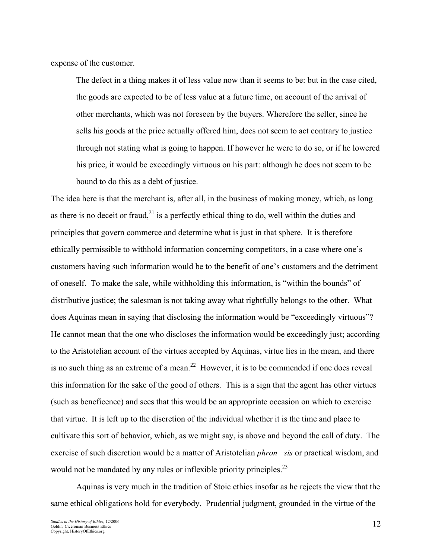expense of the customer.

The defect in a thing makes it of less value now than it seems to be: but in the case cited, the goods are expected to be of less value at a future time, on account of the arrival of other merchants, which was not foreseen by the buyers. Wherefore the seller, since he sells his goods at the price actually offered him, does not seem to act contrary to justice through not stating what is going to happen. If however he were to do so, or if he lowered his price, it would be exceedingly virtuous on his part: although he does not seem to be bound to do this as a debt of justice.

The idea here is that the merchant is, after all, in the business of making money, which, as long as there is no deceit or fraud,<sup>21</sup> is a perfectly ethical thing to do, well within the duties and principles that govern commerce and determine what is just in that sphere. It is therefore ethically permissible to withhold information concerning competitors, in a case where one's customers having such information would be to the benefit of one's customers and the detriment of oneself. To make the sale, while withholding this information, is "within the bounds" of distributive justice; the salesman is not taking away what rightfully belongs to the other. What does Aquinas mean in saying that disclosing the information would be "exceedingly virtuous"? He cannot mean that the one who discloses the information would be exceedingly just; according to the Aristotelian account of the virtues accepted by Aquinas, virtue lies in the mean, and there is no such thing as an extreme of a mean.<sup>22</sup> However, it is to be commended if one does reveal this information for the sake of the good of others. This is a sign that the agent has other virtues (such as beneficence) and sees that this would be an appropriate occasion on which to exercise that virtue. It is left up to the discretion of the individual whether it is the time and place to cultivate this sort of behavior, which, as we might say, is above and beyond the call of duty. The exercise of such discretion would be a matter of Aristotelian *phron sis* or practical wisdom, and would not be mandated by any rules or inflexible priority principles.<sup>23</sup>

Aquinas is very much in the tradition of Stoic ethics insofar as he rejects the view that the same ethical obligations hold for everybody. Prudential judgment, grounded in the virtue of the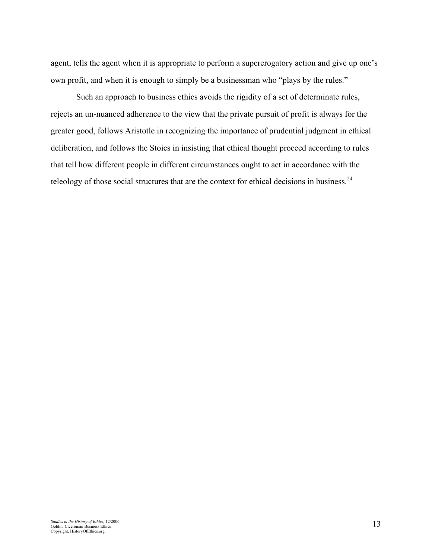agent, tells the agent when it is appropriate to perform a supererogatory action and give up one's own profit, and when it is enough to simply be a businessman who "plays by the rules."

Such an approach to business ethics avoids the rigidity of a set of determinate rules, rejects an un-nuanced adherence to the view that the private pursuit of profit is always for the greater good, follows Aristotle in recognizing the importance of prudential judgment in ethical deliberation, and follows the Stoics in insisting that ethical thought proceed according to rules that tell how different people in different circumstances ought to act in accordance with the teleology of those social structures that are the context for ethical decisions in business.<sup>24</sup>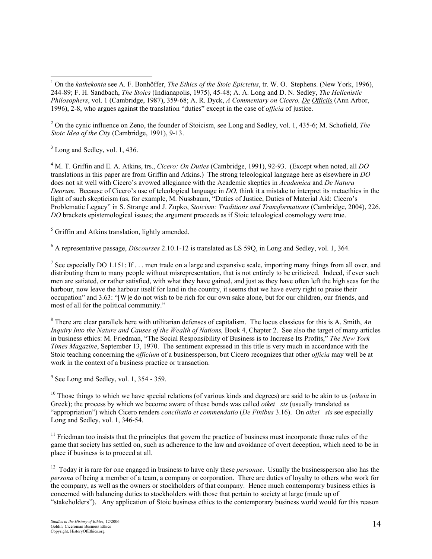<sup>2</sup> On the cynic influence on Zeno, the founder of Stoicism, see Long and Sedley, vol. 1, 435-6; M. Schofield, *The Stoic Idea of the City* (Cambridge, 1991), 9-13.

 $3$  Long and Sedley, vol. 1, 436.

<sup>4</sup> M. T. Griffin and E. A. Atkins, trs., *Cicero: On Duties* (Cambridge, 1991), 92-93. (Except when noted, all *DO* translations in this paper are from Griffin and Atkins.) The strong teleological language here as elsewhere in *DO* does not sit well with Cicero's avowed allegiance with the Academic skeptics in *Academica* and *De Natura Deorum*. Because of Cicero's use of teleological language in *DO*, think it a mistake to interpret its metaethics in the light of such skepticism (as, for example, M. Nussbaum, "Duties of Justice, Duties of Material Aid: Cicero's Problematic Legacy" in S. Strange and J. Zupko, *Stoicism: Traditions and Transformations* (Cambridge, 2004), 226. *DO* brackets epistemological issues; the argument proceeds as if Stoic teleological cosmology were true.

<sup>5</sup> Griffin and Atkins translation, lightly amended.

<sup>6</sup> A representative passage, *Discourses* 2.10.1-12 is translated as LS 59Q, in Long and Sedley, vol. 1, 364.

<sup>7</sup> See especially DO 1.151: If  $\ldots$  men trade on a large and expansive scale, importing many things from all over, and distributing them to many people without misrepresentation, that is not entirely to be criticized. Indeed, if ever such men are satiated, or rather satisfied, with what they have gained, and just as they have often left the high seas for the harbour, now leave the harbour itself for land in the country, it seems that we have every right to praise their occupation" and 3.63: "[W]e do not wish to be rich for our own sake alone, but for our children, our friends, and most of all for the political community."

<sup>8</sup> There are clear parallels here with utilitarian defenses of capitalism. The locus classicus for this is A. Smith, *An Inquiry Into the Nature and Causes of the Wealth of Nations,* Book 4, Chapter 2. See also the target of many articles in business ethics: M. Friedman, "The Social Responsibility of Business is to Increase Its Profits," *The New York Times Magazine*, September 13, 1970. The sentiment expressed in this title is very much in accordance with the Stoic teaching concerning the *officium* of a businessperson, but Cicero recognizes that other *officia* may well be at work in the context of a business practice or transaction.

 $<sup>9</sup>$  See Long and Sedley, vol. 1, 354 - 359.</sup>

<sup>10</sup> Those things to which we have special relations (of various kinds and degrees) are said to be akin to us (*oikeia* in Greek); the process by which we become aware of these bonds was called *oikei sis* (usually translated as "appropriation") which Cicero renders *conciliatio et commendatio* (*De Finibus* 3.16). On *oikei sis* see especially Long and Sedley, vol. 1, 346-54.

<sup>11</sup> Friedman too insists that the principles that govern the practice of business must incorporate those rules of the game that society has settled on, such as adherence to the law and avoidance of overt deception, which need to be in place if business is to proceed at all.

<sup>12</sup> Today it is rare for one engaged in business to have only these *personae*. Usually the businessperson also has the *persona* of being a member of a team, a company or corporation. There are duties of loyalty to others who work for the company, as well as the owners or stockholders of that company. Hence much contemporary business ethics is concerned with balancing duties to stockholders with those that pertain to society at large (made up of "stakeholders"). Any application of Stoic business ethics to the contemporary business world would for this reason

 <sup>1</sup> On the *kathekonta* see A. F. Bonhöffer, *The Ethics of the Stoic Epictetus*, tr. W. O. Stephens. (New York, 1996), 244-89; F. H. Sandbach, *The Stoics* (Indianapolis, 1975), 45-48; A. A. Long and D. N. Sedley, *The Hellenistic Philosophers*, vol. 1 (Cambridge, 1987), 359-68; A. R. Dyck, *A Commentary on Cicero, De Officiis* (Ann Arbor, 1996), 2-8, who argues against the translation "duties" except in the case of *officia* of justice.